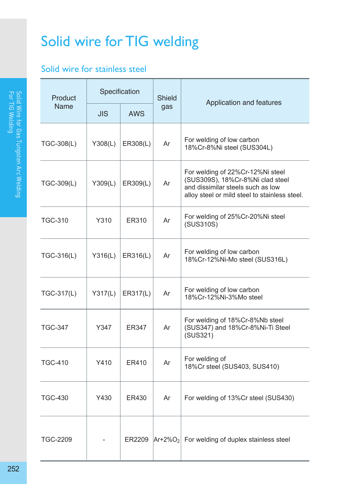## Solid wire for TIG welding

## Solid wire for stainless steel

| Product<br>Name |                     | Specification | Shield |                                                                                                                                                            |  |  |
|-----------------|---------------------|---------------|--------|------------------------------------------------------------------------------------------------------------------------------------------------------------|--|--|
|                 | JIS.                | <b>AWS</b>    | gas    | Application and features                                                                                                                                   |  |  |
| TGC-308(L)      | Y308(L)             | ER308(L)      | Ar     | For welding of low carbon<br>18%Cr-8%Ni steel (SUS304L)                                                                                                    |  |  |
| TGC-309(L)      | Y309(L)             | ER309(L)      | Ar     | For welding of 22%Cr-12%Ni steel<br>(SUS309S), 18%Cr-8%Ni clad steel<br>and dissimilar steels such as low<br>alloy steel or mild steel to stainless steel. |  |  |
| <b>TGC-310</b>  | Y310                | ER310         | Ar     | For welding of 25%Cr-20%Ni steel<br>(SUS310S)                                                                                                              |  |  |
| TGC-316(L)      | Y316(L)             | ER316(L)      | Ar     | For welding of low carbon<br>18%Cr-12%Ni-Mo steel (SUS316L)                                                                                                |  |  |
| TGC-317(L)      | Y317(L)<br>ER317(L) |               | Ar     | For welding of low carbon<br>18%Cr-12%Ni-3%Mo steel                                                                                                        |  |  |
| <b>TGC-347</b>  | Y347                | ER347         | Ar     | For welding of 18%Cr-8%Nb steel<br>(SUS347) and 18%Cr-8%Ni-Ti Steel<br>(SUS321)                                                                            |  |  |
| <b>TGC-410</b>  | Y410                | ER410         | Ar     | For welding of<br>18%Cr steel (SUS403, SUS410)                                                                                                             |  |  |
| <b>TGC-430</b>  | Y430<br>ER430       |               | Ar     | For welding of 13%Cr steel (SUS430)                                                                                                                        |  |  |
| TGC-2209        |                     |               |        | $ER2209$ $Ar+2\%O_2$ For welding of duplex stainless steel                                                                                                 |  |  |